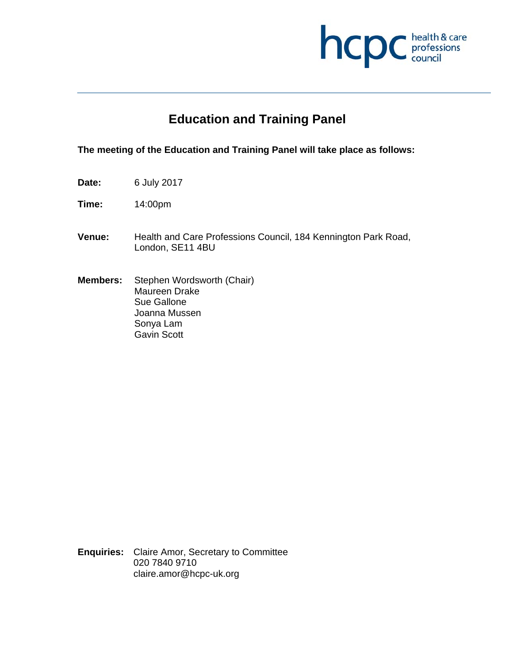

# **Education and Training Panel**

# **The meeting of the Education and Training Panel will take place as follows:**

- **Date:** 6 July 2017
- **Time:** 14:00pm
- **Venue:** Health and Care Professions Council, 184 Kennington Park Road, London, SE11 4BU
- **Members:** Stephen Wordsworth (Chair) Maureen Drake Sue Gallone Joanna Mussen Sonya Lam Gavin Scott

**Enquiries:** Claire Amor, Secretary to Committee 020 7840 9710 claire.amor@hcpc-uk.org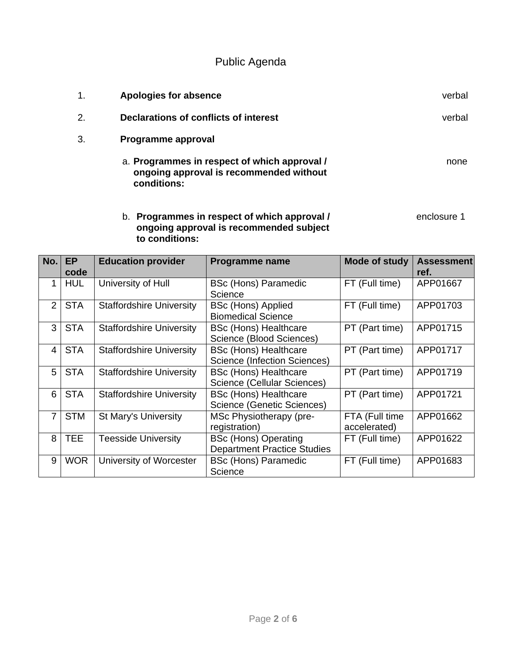Public Agenda

| 1. | <b>Apologies for absence</b>                                                                           | verbal |
|----|--------------------------------------------------------------------------------------------------------|--------|
| 2. | Declarations of conflicts of interest                                                                  | verbal |
| 3. | Programme approval                                                                                     |        |
|    | a. Programmes in respect of which approval /<br>ongoing approval is recommended without<br>conditions: | none   |

# b. **Programmes in respect of which approval /** enclosure 1 **ongoing approval is recommended subject to conditions:**

| No.            | <b>EP</b><br>code | <b>Education provider</b>       | Programme name                                                    | <b>Mode of study</b>           | <b>Assessment</b><br>ref. |
|----------------|-------------------|---------------------------------|-------------------------------------------------------------------|--------------------------------|---------------------------|
| 1              | <b>HUL</b>        | University of Hull              | <b>BSc (Hons) Paramedic</b><br>Science                            | FT (Full time)                 | APP01667                  |
| 2              | <b>STA</b>        | <b>Staffordshire University</b> | <b>BSc (Hons) Applied</b><br><b>Biomedical Science</b>            | FT (Full time)                 | APP01703                  |
| 3              | <b>STA</b>        | <b>Staffordshire University</b> | <b>BSc (Hons) Healthcare</b><br>Science (Blood Sciences)          | PT (Part time)                 | APP01715                  |
| 4              | <b>STA</b>        | <b>Staffordshire University</b> | <b>BSc (Hons) Healthcare</b><br>Science (Infection Sciences)      | PT (Part time)                 | APP01717                  |
| 5              | <b>STA</b>        | <b>Staffordshire University</b> | <b>BSc (Hons) Healthcare</b><br>Science (Cellular Sciences)       | PT (Part time)                 | APP01719                  |
| 6              | <b>STA</b>        | <b>Staffordshire University</b> | <b>BSc (Hons) Healthcare</b><br>Science (Genetic Sciences)        | PT (Part time)                 | APP01721                  |
| 7 <sup>1</sup> | <b>STM</b>        | <b>St Mary's University</b>     | MSc Physiotherapy (pre-<br>registration)                          | FTA (Full time<br>accelerated) | APP01662                  |
| 8              | <b>TEE</b>        | <b>Teesside University</b>      | <b>BSc (Hons) Operating</b><br><b>Department Practice Studies</b> | FT (Full time)                 | APP01622                  |
| 9              | <b>WOR</b>        | University of Worcester         | <b>BSc (Hons) Paramedic</b><br>Science                            | FT (Full time)                 | APP01683                  |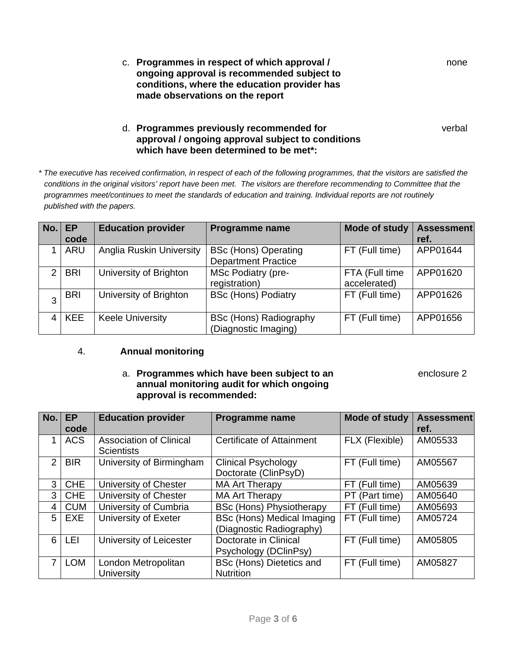c. **Programmes in respect of which approval /** none **ongoing approval is recommended subject to conditions, where the education provider has made observations on the report** 

d. **Programmes previously recommended for** verbal **approval / ongoing approval subject to conditions which have been determined to be met\*:**

*\* The executive has received confirmation, in respect of each of the following programmes, that the visitors are satisfied the conditions in the original visitors' report have been met. The visitors are therefore recommending to Committee that the programmes meet/continues to meet the standards of education and training. Individual reports are not routinely published with the papers.* 

| No. | EP         | <b>Education provider</b>       | Programme name                | <b>Mode of study</b> | <b>Assessment</b> |
|-----|------------|---------------------------------|-------------------------------|----------------------|-------------------|
|     | code       |                                 |                               |                      | ref.              |
|     | <b>ARU</b> | <b>Anglia Ruskin University</b> | <b>BSc (Hons) Operating</b>   | FT (Full time)       | APP01644          |
|     |            |                                 | <b>Department Practice</b>    |                      |                   |
| 2   | <b>BRI</b> | University of Brighton          | <b>MSc Podiatry (pre-</b>     | FTA (Full time       | APP01620          |
|     |            |                                 | registration)                 | accelerated)         |                   |
|     | <b>BRI</b> | University of Brighton          | <b>BSc (Hons) Podiatry</b>    | FT (Full time)       | APP01626          |
| 3   |            |                                 |                               |                      |                   |
|     | <b>KEE</b> | <b>Keele University</b>         | <b>BSc (Hons) Radiography</b> | FT (Full time)       | APP01656          |
|     |            |                                 | (Diagnostic Imaging)          |                      |                   |

#### 4. **Annual monitoring**

#### a. **Programmes which have been subject to an** enclosure 2 **annual monitoring audit for which ongoing approval is recommended:**

| No.            | <b>EP</b>  | <b>Education provider</b>      | <b>Programme name</b>           | <b>Mode of study</b> | <b>Assessment</b> |
|----------------|------------|--------------------------------|---------------------------------|----------------------|-------------------|
|                | code       |                                |                                 |                      | ref.              |
| 1              | <b>ACS</b> | <b>Association of Clinical</b> | Certificate of Attainment       | FLX (Flexible)       | AM05533           |
|                |            | <b>Scientists</b>              |                                 |                      |                   |
| $\mathcal{P}$  | <b>BIR</b> | University of Birmingham       | <b>Clinical Psychology</b>      | FT (Full time)       | AM05567           |
|                |            |                                | Doctorate (ClinPsyD)            |                      |                   |
| 3 <sup>1</sup> | <b>CHE</b> | University of Chester          | <b>MA Art Therapy</b>           | FT (Full time)       | AM05639           |
| 3 <sup>1</sup> | <b>CHE</b> | University of Chester          | <b>MA Art Therapy</b>           | PT (Part time)       | AM05640           |
| 4 I            | <b>CUM</b> | University of Cumbria          | <b>BSc (Hons) Physiotherapy</b> | FT (Full time)       | AM05693           |
|                | $5$ EXE    | University of Exeter           | BSc (Hons) Medical Imaging      | FT (Full time)       | AM05724           |
|                |            |                                | (Diagnostic Radiography)        |                      |                   |
| 6              | <b>LEI</b> | University of Leicester        | Doctorate in Clinical           | FT (Full time)       | AM05805           |
|                |            |                                | Psychology (DClinPsy)           |                      |                   |
| $\overline{7}$ | <b>LOM</b> | London Metropolitan            | BSc (Hons) Dietetics and        | FT (Full time)       | AM05827           |
|                |            | University                     | <b>Nutrition</b>                |                      |                   |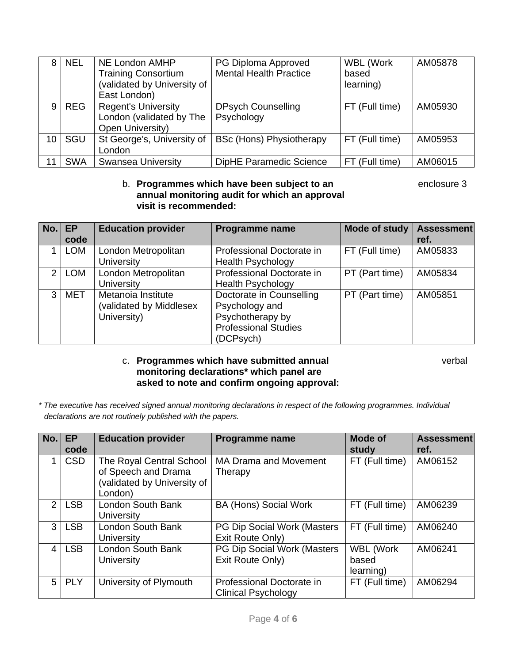| 8.              | <b>NEL</b> | NE London AMHP<br><b>Training Consortium</b><br>(validated by University of<br>East London) | PG Diploma Approved<br><b>Mental Health Practice</b> | <b>WBL (Work</b><br>based<br>learning) | AM05878 |
|-----------------|------------|---------------------------------------------------------------------------------------------|------------------------------------------------------|----------------------------------------|---------|
| 9               | <b>REG</b> | <b>Regent's University</b><br>London (validated by The<br>Open University)                  | <b>DPsych Counselling</b><br>Psychology              | FT (Full time)                         | AM05930 |
| 10 <sup>°</sup> | SGU        | St George's, University of<br>_ondon                                                        | <b>BSc (Hons) Physiotherapy</b>                      | FT (Full time)                         | AM05953 |
| 11              | <b>SWA</b> | <b>Swansea University</b>                                                                   | DipHE Paramedic Science                              | FT (Full time)                         | AM06015 |

#### b. **Programmes which have been subject to an enclosure 3 annual monitoring audit for which an approval visit is recommended:**

| No. | <b>EP</b><br>code | <b>Education provider</b>                                    | <b>Programme name</b>                                                                                      | Mode of study  | <b>Assessment</b><br>ref. |
|-----|-------------------|--------------------------------------------------------------|------------------------------------------------------------------------------------------------------------|----------------|---------------------------|
|     | <b>LOM</b>        | London Metropolitan<br><b>University</b>                     | Professional Doctorate in<br><b>Health Psychology</b>                                                      | FT (Full time) | AM05833                   |
| 2   | <b>LOM</b>        | London Metropolitan<br><b>University</b>                     | Professional Doctorate in<br><b>Health Psychology</b>                                                      | PT (Part time) | AM05834                   |
| 3   | <b>MET</b>        | Metanoia Institute<br>(validated by Middlesex<br>University) | Doctorate in Counselling<br>Psychology and<br>Psychotherapy by<br><b>Professional Studies</b><br>(DCPsych) | PT (Part time) | AM05851                   |

#### c. **Programmes which have submitted annual** verbal **monitoring declarations\* which panel are asked to note and confirm ongoing approval:**

*\* The executive has received signed annual monitoring declarations in respect of the following programmes. Individual declarations are not routinely published with the papers.* 

| No.            | <b>EP</b>  | <b>Education provider</b>                                                                | <b>Programme name</b>                                   | Mode of                                | <b>Assessment</b> |
|----------------|------------|------------------------------------------------------------------------------------------|---------------------------------------------------------|----------------------------------------|-------------------|
|                | code       |                                                                                          |                                                         | study                                  | ref.              |
| 1              | <b>CSD</b> | The Royal Central School<br>of Speech and Drama<br>validated by University of<br>London) | <b>MA Drama and Movement</b><br>Therapy                 | FT (Full time)                         | AM06152           |
| $\mathcal{P}$  | <b>LSB</b> | <b>London South Bank</b><br>University                                                   | <b>BA (Hons) Social Work</b>                            | FT (Full time)                         | AM06239           |
| $\mathbf{3}$   | <b>LSB</b> | London South Bank<br>University                                                          | PG Dip Social Work (Masters<br>Exit Route Only)         | FT (Full time)                         | AM06240           |
| 4 I            | <b>LSB</b> | London South Bank<br>University                                                          | PG Dip Social Work (Masters<br>Exit Route Only)         | <b>WBL (Work</b><br>based<br>learning) | AM06241           |
| 5 <sup>1</sup> | <b>PLY</b> | University of Plymouth                                                                   | Professional Doctorate in<br><b>Clinical Psychology</b> | FT (Full time)                         | AM06294           |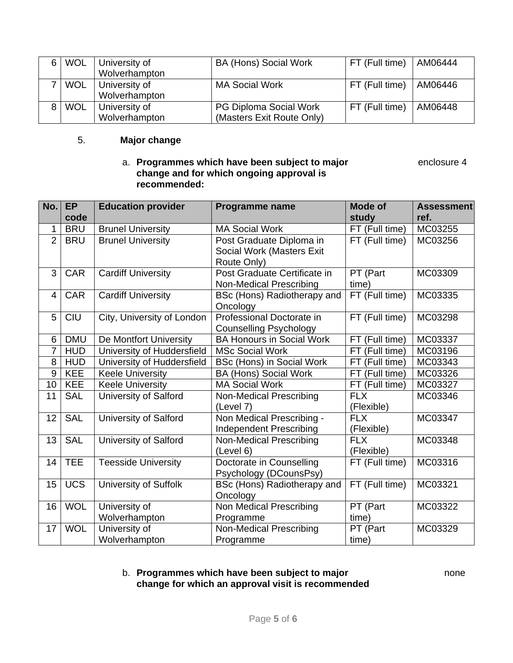| 6 WOL      | University of | BA (Hons) Social Work         | FT (Full time) | AM06444 |
|------------|---------------|-------------------------------|----------------|---------|
|            | Wolverhampton |                               |                |         |
| <b>WOL</b> | University of | <b>MA Social Work</b>         | FT (Full time) | AM06446 |
|            | Wolverhampton |                               |                |         |
| <b>WOL</b> | University of | <b>PG Diploma Social Work</b> | FT (Full time) | AM06448 |
|            | Wolverhampton | (Masters Exit Route Only)     |                |         |

# 5. **Major change**

# a. **Programmes which have been subject to major** enclosure 4 **change and for which ongoing approval is recommended:**

| No.            | <b>EP</b><br>code | <b>Education provider</b>    | Programme name                                                 | <b>Mode of</b><br>study  | <b>Assessment</b><br>ref. |
|----------------|-------------------|------------------------------|----------------------------------------------------------------|--------------------------|---------------------------|
| 1              | <b>BRU</b>        | <b>Brunel University</b>     | <b>MA Social Work</b>                                          | FT (Full time)           | MC03255                   |
| $\overline{2}$ | <b>BRU</b>        | <b>Brunel University</b>     | Post Graduate Diploma in                                       | FT (Full time)           | MC03256                   |
|                |                   |                              | Social Work (Masters Exit<br>Route Only)                       |                          |                           |
| 3              | <b>CAR</b>        | <b>Cardiff University</b>    | Post Graduate Certificate in<br><b>Non-Medical Prescribing</b> | PT (Part<br>time)        | MC03309                   |
| $\overline{4}$ | CAR               | <b>Cardiff University</b>    | BSc (Hons) Radiotherapy and<br>Oncology                        | FT (Full time)           | MC03335                   |
| 5              | <b>CIU</b>        | City, University of London   | Professional Doctorate in<br><b>Counselling Psychology</b>     | FT (Full time)           | MC03298                   |
| 6              | <b>DMU</b>        | De Montfort University       | <b>BA Honours in Social Work</b>                               | FT (Full time)           | MC03337                   |
| $\overline{7}$ | <b>HUD</b>        | University of Huddersfield   | <b>MSc Social Work</b>                                         | FT (Full time)           | MC03196                   |
| 8              | <b>HUD</b>        | University of Huddersfield   | BSc (Hons) in Social Work                                      | FT (Full time)           | MC03343                   |
| 9              | <b>KEE</b>        | <b>Keele University</b>      | <b>BA (Hons) Social Work</b>                                   | FT (Full time)           | MC03326                   |
| 10             | KEE               | <b>Keele University</b>      | <b>MA Social Work</b>                                          | FT (Full time)           | MC03327                   |
| 11             | <b>SAL</b>        | University of Salford        | <b>Non-Medical Prescribing</b><br>(Level 7)                    | <b>FLX</b><br>(Flexible) | MC03346                   |
| 12             | <b>SAL</b>        | <b>University of Salford</b> | Non Medical Prescribing -                                      | <b>FLX</b>               | MC03347                   |
|                |                   |                              | Independent Prescribing                                        | (Flexible)               |                           |
| 13             | <b>SAL</b>        | University of Salford        | <b>Non-Medical Prescribing</b>                                 | <b>FLX</b>               | MC03348                   |
|                |                   |                              | (Level 6)                                                      | (Flexible)               |                           |
| 14             | <b>TEE</b>        | <b>Teesside University</b>   | Doctorate in Counselling<br>Psychology (DCounsPsy)             | FT (Full time)           | MC03316                   |
| 15             | <b>UCS</b>        | University of Suffolk        | BSc (Hons) Radiotherapy and                                    | FT (Full time)           | MC03321                   |
|                |                   |                              | Oncology                                                       |                          |                           |
| 16             | <b>WOL</b>        | University of                | Non Medical Prescribing                                        | PT (Part                 | MC03322                   |
|                |                   | Wolverhampton                | Programme                                                      | time)                    |                           |
| 17             | <b>WOL</b>        | University of                | Non-Medical Prescribing                                        | PT (Part                 | MC03329                   |
|                |                   | Wolverhampton                | Programme                                                      | time)                    |                           |

## b. **Programmes which have been subject to major** none **change for which an approval visit is recommended**